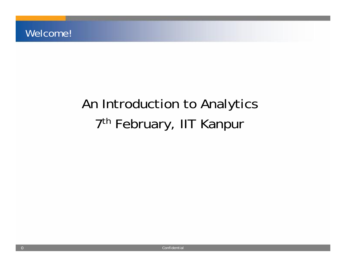## An Introduction to Analytics 7<sup>th</sup> February, IIT Kanpur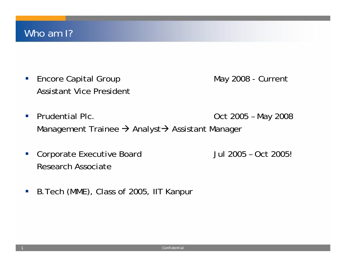1

 $\mathcal{L}_{\mathcal{A}}$ Encore Capital Group May 2008 - Current Assistant Vice President

- $\mathcal{L}_{\mathcal{A}}$ Prudential Plc. **Department Controller Sect 2005 – May 2008** Management Trainee  $\rightarrow$  Analyst $\rightarrow$  Assistant Manager
- $\mathcal{L}_{\mathcal{A}}$  Corporate Executive Board Jul 2005 – Oct 2005! Research Associate
- $\mathcal{C}_{\mathcal{A}}$ B.Tech (MME), Class of 2005, IIT Kanpur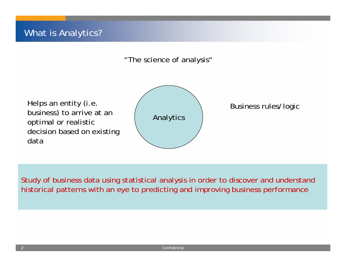#### "The science of analysis"

Helps an entity (i.e. business) to arrive at an optimal or realistic decision based on existing data





Study of business data using statistical analysis in order to discover and understand historical patterns with an eye to predicting and improving business performance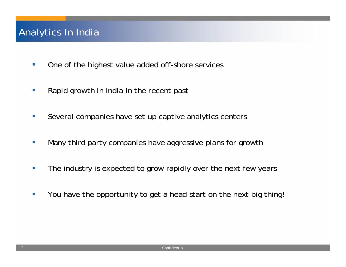#### Analytics In India

- **The State** One of the highest value added off-shore services
- D. Rapid growth in India in the recent past
- $\mathcal{L}_{\mathcal{A}}$ Several companies have set up captive analytics centers
- D. Many third party companies have aggressive plans for growth
- D. The industry is expected to grow rapidly over the next few years
- V. You have the opportunity to get a head start on the next big thing!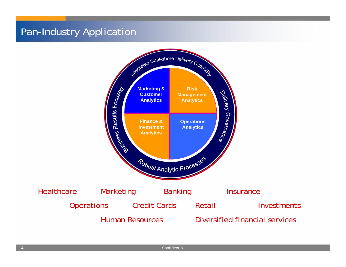### Pan-Industry Application

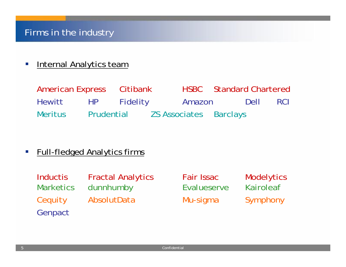#### $\mathcal{L}_{\mathcal{A}}$ Internal Analytics team

| American Express Citibank |            |          |        | <b>HSBC</b> Standard Chartered |      |            |
|---------------------------|------------|----------|--------|--------------------------------|------|------------|
| Hewitt                    | HP         | Fidelity | Amazon |                                | Dell | <b>RCI</b> |
| <b>Meritus</b>            | Prudential |          |        | <b>ZS Associates Barclays</b>  |      |            |

 $\overline{\phantom{a}}$ Full-fledged Analytics firms

| Inductis         | <b>Fractal Analytics</b> |
|------------------|--------------------------|
| <b>Marketics</b> | dunnhumby                |
| Cequity          | AbsolutData              |
| Genpact          |                          |

s Fair Issac Modelytics Evalueserve Kairoleaf Mu-sigma Symphony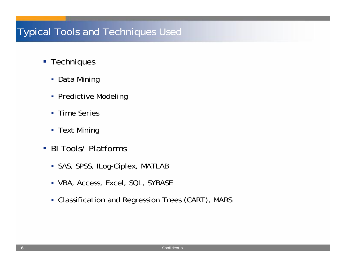#### Typical Tools and Techniques Used

- **Techniques** 
	- Data Mining
	- **-** Predictive Modeling
	- **Time Series**
	- **-** Text Mining
- BI Tools/ Platforms
	- SAS, SPSS, ILog-Ciplex, MATLAB
	- VBA, Access, Excel, SQL, SYBASE
	- Classification and Regression Trees (CART), MARS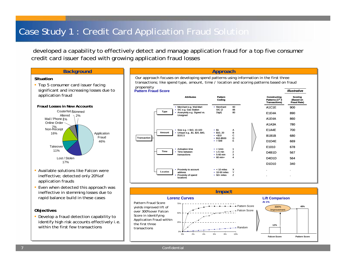#### Case Study 1 : Credit Card Application Fraud Solution

developed a capability to effectively detect and manage application fraud for a top five consumer credit card issuer faced with growing application fraud losses



Confidential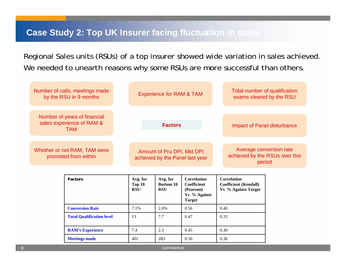#### **Case Study 2: Top UK Insurer facing fluctuation in sales**

Regional Sales units (RSUs) of a top insurer showed wide variation in sales achieved. We needed to unearth reasons why some RSUs are more successful than others.

| Number of calls, meetings made<br>by the RSU in 9 months                | <b>Experience for RAM &amp; TAM</b>                           | Total number of qualification<br>exams cleared by the RSU           |  |  |
|-------------------------------------------------------------------------|---------------------------------------------------------------|---------------------------------------------------------------------|--|--|
| Number of years of financial<br>sales experience of RAM &<br><b>TAM</b> | <b>Factors</b>                                                | Impact of Panel disturbance                                         |  |  |
| Whether or not RAM, TAM were<br>promoted from within                    | Amount of Pru DPI, Mkt DPI<br>achieved by the Panel last year | Average conversion rate<br>achieved by the RSUs over this<br>period |  |  |

| <b>Factors</b>                   | Avg. for<br>Top 10<br><b>RSU</b> | Avg. for<br><b>Bottom 10</b><br><b>RSU</b> | <b>Correlation</b><br><b>Coefficient</b><br>(Pearson)<br>Vs % Against<br><b>Target</b> | <b>Correlation</b><br><b>Coefficient (Kendall)</b><br><b>Vs</b> % Against Target |
|----------------------------------|----------------------------------|--------------------------------------------|----------------------------------------------------------------------------------------|----------------------------------------------------------------------------------|
| <b>Conversion Rate</b>           | 7.1%                             | 2.6%                                       | 0.56                                                                                   | 0.40                                                                             |
| <b>Total Qualification level</b> | 13                               | 7.7                                        | 0.47                                                                                   | 0.33                                                                             |
| <b>RAM's Experience</b>          | 7.4                              | 2.3                                        | 0.45                                                                                   | 0.30                                                                             |
| <b>Meetings made</b>             | 401                              | 283                                        | 0.50                                                                                   | 0.36                                                                             |

Confidential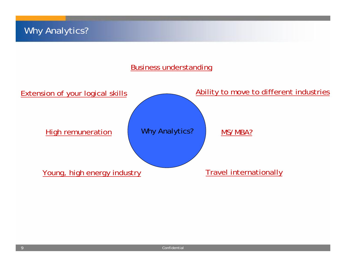#### Business understanding

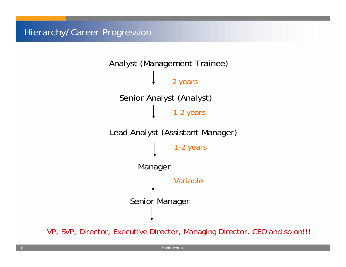

VP, SVP, Director, Executive Director, Managing Director, CEO and so on!!!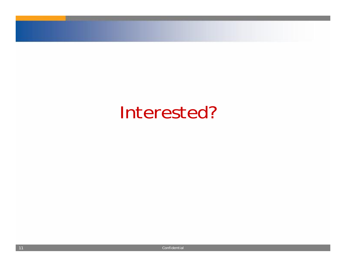# Interested?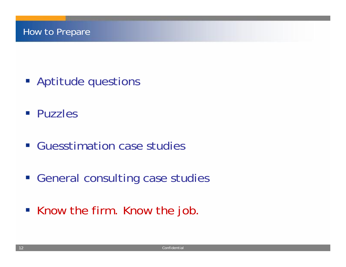- **Aptitude questions**
- **Puzzles**
- **Guesstimation case studies**
- **Example 23 Figure 10 Figure 2018 The General consulting case studies**
- Know the firm. Know the job.